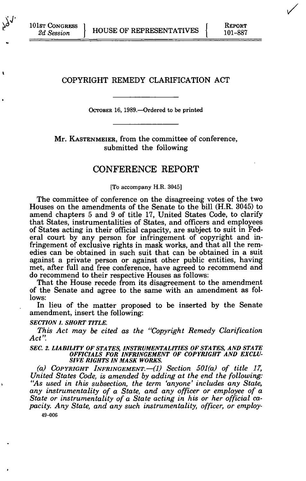Ł

# COPYRIGHT REMEDY CLARIFICATION ACT

OCTOBER 16, 1989.—Ordered to be printed

Mr. KASTENMEIER, from the committee of conference, submitted the following

# CONFERENCE REPORT

[To accompany H.R. 3045]

The committee of conference on the disagreeing votes of the two Houses on the amendments of the Senate to the bill (H.R. 3045) to amend chapters 5 and 9 of title 17, United States Code, to clarify that States, instrumentalities of States, and officers and employees of States acting in their official capacity, are subject to suit in Federal court by any person for infringement of copyright and infringement of exclusive rights in mask works, and that all the remedies can be obtained in such suit that can be obtained in a suit against a private person or against other public entities, having met, after full and free conference, have agreed to recommend and do recommend to their respective Houses as follows:

That the House recede from its disagreement to the amendment of the Senate and agree to the same with an amendment as follows:

In lieu of the matter proposed to be inserted by the Senate amendment, insert the following:

### *SECTION 1. SHORT TITLE.*

*This Act may be cited as the "Copyright Remedy Clarification Act".* 

*SEC. 2. LIABILITY OF STATES, INSTRUMENTALITIES OF STATES, AND STATE OFFICIALS FOR INFRINGEMENT OF COPYRIGHT AND EXCLU-SIVE RIGHTS IN MASK WORKS.* 

*(a) COPYRIGHT INFRINGEMENT.*—*(1) Section 501(a) of title 17, United States Code, is amended by adding at the end the following: "As used in this subsection, the term 'anyone' includes any State, any instrumentality of a State, and any officer or employee of a State or instrumentality of a State acting in his or her official capacity. Any State, and any such instrumentality, officer, or employ-*

**49-006**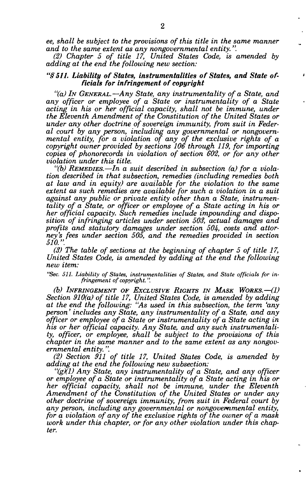*ee, shall be subject to the provisions of this title in the same manner and to the same extent as any nongovernmental entity.".* 

*(2) Chapter 5 of title 17, United States Code, is amended by adding at the end the following new section:* 

## *"§ 511. Liability of States, instrumentalities of States, and State officials for infringement of copyright*

*"(a) IN GENERAL.*—*Any State, any instrumentality of a State, and any officer or employee of a State or instrumentality of a State acting in his or her official capacity, shall not be immune, under the Eleventh Amendment of the Constitution of the United States or under any other doctrine of sovereign immunity, from suit in Federal court by any person, including any governmental or nongovernmental entity, for a violation of any of the exclusive rights of a copyright owner provided by sections 106 through 119, for importing copies of phonorecords in violation of section 602, or for any other violation under this title.* 

*"(b) REMEDIES.*—*In a suit described in subsection (a) for a violation described in that subsection, remedies (including remedies both at law and in equity) are available for the violation to the same extent as such remedies are available for such a violation in a suit against any public or private entity other than a State, instrumentality of a State, or officer or employee of a State acting in his or her official capacity. Such remedies include impounding and disposition of infringing articles under section 503, actual damages and profits and statutory damages under section 504, costs and attorney's fees under section 505, and the remedies provided in section 510.".* 

*(3) The table of sections at the beginning of chapter 5 of title 17, United States Code, is amended by adding at the end the following new item:* 

*"Sec. 511. Liability of States, instrumentalities of States, and State officials for infringement of copyright.".* 

*(b) INFRINGEMENT OF EXCLUSIVE RIGHTS IN MASK WORKS.*—*(1) Section 910(a) of title 17, United States Code, is amended by adding at the end the following: "As used in this subsection, the term 'any person' includes any State, any instrumentality of a State, and any officer or employee of a State or instrumentality of a State acting in his or her official capacity. Any State, and any such instrumentality, officer, or employee, shall be subject to the provisions of this chapter in the same manner and to the same extent as any nongovernmental entity.".* 

*(2) Section 911 of title 17, United States Code, is amended by adding at the end the following new subsection:* 

*"(g)(1) Any State, any instrumentality of a State, and any officer or employee of a State or instrumentality of a State acting in his or her official capacity, shall not be immune, under the Eleventh Amendment of the Constitution of the United States or under any other doctrine of sovereign immunity, from suit in Federal court by any person, including any governmental or nongovernmental entity, for a violation of any of the exclusive rights of the owner of a mask work under this chapter, or for any other violation under this chapter.*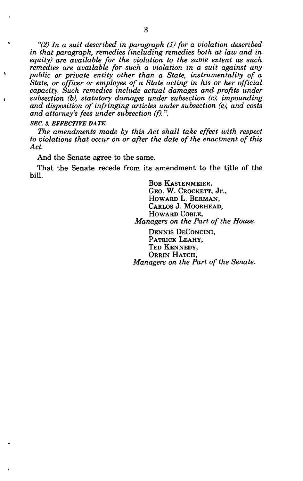*"(2) In a suit described in paragraph (1) for a violation described in that paragraph, remedies (including remedies both at law and in equity) are available for the violation to the same extent as such remedies are available for such a violation in a suit against any public or private entity other than a State, instrumentality of a State, or officer or employee of a State acting in his or her official capacity. Such remedies include actual damages and profits under subsection (b), statutory damages under subsection (c), impounding and disposition of infringing articles under subsection (e), and costs and attorney's fees under subsection (f).".* 

#### *SEC. 3. EFFECTIVE DATE.*

*The amendments made by this Act shall take effect with respect to violations that occur on or after the date of the enactment of this Act.* 

And the Senate agree to the same.

That the Senate recede from its amendment to the title of the bill.

> BOB KASTENMEIER, GEO. W. CROCKETT, Jr., HOWARD L. BERMAN, CARLOS J. MOORHEAD, HOWARD COBLE, *Managers on the Part of the House.*

DENNIS DECONCINI, PATRICK LEAHY, TED KENNEDY, ORRIN HATCH, *Managers on the Part of the Senate.*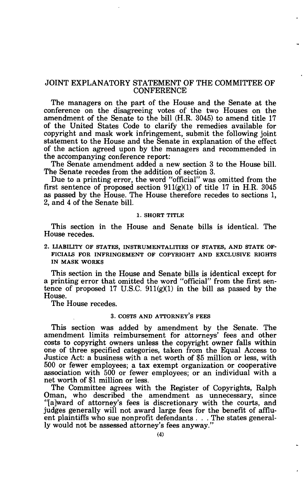# JOINT EXPLANATORY STATEMENT OF THE COMMITTEE OF **CONFERENCE**

The managers on the part of the House and the Senate at the conference on the disagreeing votes of the two Houses on the amendment of the Senate to the bill (H.R. 3045) to amend title 17 of the United States Code to clarify the remedies available for copyright and mask work infringement, submit the following joint statement to the House and the Senate in explanation of the effect of the action agreed upon by the managers and recommended in the accompanying conference report:

The Senate amendment added a new section 3 to the House bill. The Senate recedes from the addition of section 3.

Due to a printing error, the word "official" was omitted from the first sentence of proposed section  $911(g)(1)$  of title 17 in H.R. 3045 as passed by the House. The House therefore recedes to sections 1, 2, and 4 of the Senate bill.

#### **1. SHORT TITLE**

This section in the House and Senate bills is identical. The House recedes.

**2. LIABILITY OF STATES, INSTRUMENTALITIES OF STATES, AND STATE OF-FICIALS FOR INFRINGEMENT OF COPYRIGHT AND EXCLUSIVE RIGHTS IN MASK WORKS** 

This section in the House and Senate bills is identical except for a printing error that omitted the word "official" from the first sentence of proposed 17 U.S.C.  $911(g)(1)$  in the bill as passed by the House.

The House recedes.

### **3. COSTS AND ATTORNEY'S FEES**

This section was added by amendment by the Senate. The amendment limits reimbursement for attorneys' fees and other costs to copyright owners unless the copyright owner falls within one of three specified categories, taken from the Equal Access to Justice Act: a business with a net worth of \$5 million or less, with 500 or fewer employees; a tax exempt organization or cooperative association with 500 or fewer employees; or an individual with a net worth of \$1 million or less.

The Committee agrees with the Register of Copyrights, Ralph Oman, who described the amendment as unnecessary, since "[a]ward of attorney's fees is discretionary with the courts, and judges generally will not award large fees for the benefit of affluent plaintiffs who sue nonprofit defendants . . . The states generally would not be assessed attorney's fees anyway."